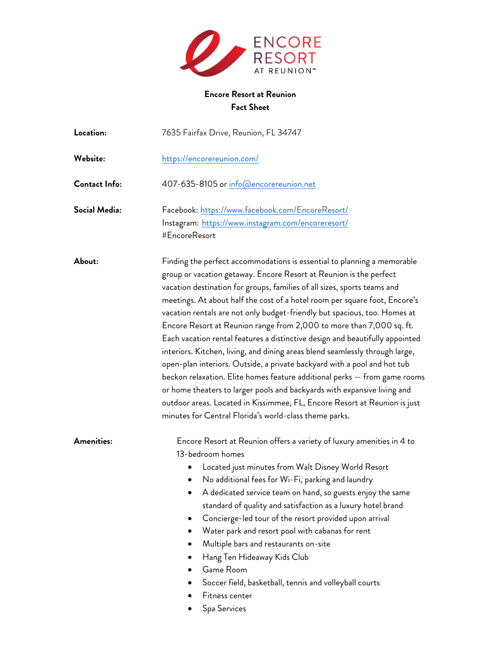

## **Encore Resort at Reunion Fact Sheet**

| Location:     | 7635 Fairfax Drive, Reunion, FL 34747                                                                                                                                                                                                                                                                                                                                                                                                                                                                                                                                                                                                                                                                                                                                                                                                                                                                                                                                                                    |
|---------------|----------------------------------------------------------------------------------------------------------------------------------------------------------------------------------------------------------------------------------------------------------------------------------------------------------------------------------------------------------------------------------------------------------------------------------------------------------------------------------------------------------------------------------------------------------------------------------------------------------------------------------------------------------------------------------------------------------------------------------------------------------------------------------------------------------------------------------------------------------------------------------------------------------------------------------------------------------------------------------------------------------|
| Website:      | https://encorereunion.com/                                                                                                                                                                                                                                                                                                                                                                                                                                                                                                                                                                                                                                                                                                                                                                                                                                                                                                                                                                               |
| Contact Info: | 407-635-8105 or info@encorereunion.net                                                                                                                                                                                                                                                                                                                                                                                                                                                                                                                                                                                                                                                                                                                                                                                                                                                                                                                                                                   |
| Social Media: | Facebook: https://www.facebook.com/EncoreResort/<br>Instagram: https://www.instagram.com/encoreresort/<br>#EncoreResort                                                                                                                                                                                                                                                                                                                                                                                                                                                                                                                                                                                                                                                                                                                                                                                                                                                                                  |
| About:        | Finding the perfect accommodations is essential to planning a memorable<br>group or vacation getaway. Encore Resort at Reunion is the perfect<br>vacation destination for groups, families of all sizes, sports teams and<br>meetings. At about half the cost of a hotel room per square foot, Encore's<br>vacation rentals are not only budget-friendly but spacious, too. Homes at<br>Encore Resort at Reunion range from 2,000 to more than 7,000 sq. ft.<br>Each vacation rental features a distinctive design and beautifully appointed<br>interiors. Kitchen, living, and dining areas blend seamlessly through large,<br>open-plan interiors. Outside, a private backyard with a pool and hot tub<br>beckon relaxation. Elite homes feature additional perks — from game rooms<br>or home theaters to larger pools and backyards with expansive living and<br>outdoor areas. Located in Kissimmee, FL, Encore Resort at Reunion is just<br>minutes for Central Florida's world-class theme parks. |
| Amenities:    | Encore Resort at Reunion offers a variety of luxury amenities in 4 to<br>13-bedroom homes<br>Located just minutes from Walt Disney World Resort<br>No additional fees for Wi-Fi, parking and laundry<br>A dedicated service team on hand, so guests enjoy the same<br>standard of quality and satisfaction as a luxury hotel brand<br>Concierge-led tour of the resort provided upon arrival<br>Water park and resort pool with cabanas for rent<br>Multiple bars and restaurants on-site<br>Hang Ten Hideaway Kids Club<br>Game Room<br>Soccer field, basketball, tennis and volleyball courts<br>Fitness center<br>Spa Services                                                                                                                                                                                                                                                                                                                                                                        |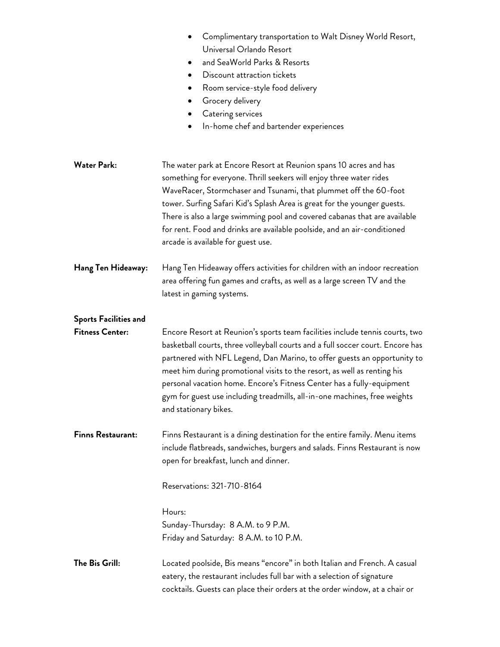|                                                        | Complimentary transportation to Walt Disney World Resort,<br>Universal Orlando Resort<br>and SeaWorld Parks & Resorts<br>Discount attraction tickets<br>Room service-style food delivery<br>Grocery delivery<br>Catering services<br>In-home chef and bartender experiences<br>٠                                                                                                                                                                                                                      |
|--------------------------------------------------------|-------------------------------------------------------------------------------------------------------------------------------------------------------------------------------------------------------------------------------------------------------------------------------------------------------------------------------------------------------------------------------------------------------------------------------------------------------------------------------------------------------|
| <b>Water Park:</b>                                     | The water park at Encore Resort at Reunion spans 10 acres and has<br>something for everyone. Thrill seekers will enjoy three water rides<br>WaveRacer, Stormchaser and Tsunami, that plummet off the 60-foot<br>tower. Surfing Safari Kid's Splash Area is great for the younger guests.<br>There is also a large swimming pool and covered cabanas that are available<br>for rent. Food and drinks are available poolside, and an air-conditioned<br>arcade is available for guest use.              |
| Hang Ten Hideaway:                                     | Hang Ten Hideaway offers activities for children with an indoor recreation<br>area offering fun games and crafts, as well as a large screen TV and the<br>latest in gaming systems.                                                                                                                                                                                                                                                                                                                   |
| <b>Sports Facilities and</b><br><b>Fitness Center:</b> | Encore Resort at Reunion's sports team facilities include tennis courts, two<br>basketball courts, three volleyball courts and a full soccer court. Encore has<br>partnered with NFL Legend, Dan Marino, to offer guests an opportunity to<br>meet him during promotional visits to the resort, as well as renting his<br>personal vacation home. Encore's Fitness Center has a fully-equipment<br>gym for guest use including treadmills, all-in-one machines, free weights<br>and stationary bikes. |
| <b>Finns Restaurant:</b>                               | Finns Restaurant is a dining destination for the entire family. Menu items<br>include flatbreads, sandwiches, burgers and salads. Finns Restaurant is now<br>open for breakfast, lunch and dinner.<br>Reservations: 321-710-8164<br>Hours:<br>Sunday-Thursday: 8 A.M. to 9 P.M.<br>Friday and Saturday: 8 A.M. to 10 P.M.                                                                                                                                                                             |
| The Bis Grill:                                         | Located poolside, Bis means "encore" in both Italian and French. A casual<br>eatery, the restaurant includes full bar with a selection of signature<br>cocktails. Guests can place their orders at the order window, at a chair or                                                                                                                                                                                                                                                                    |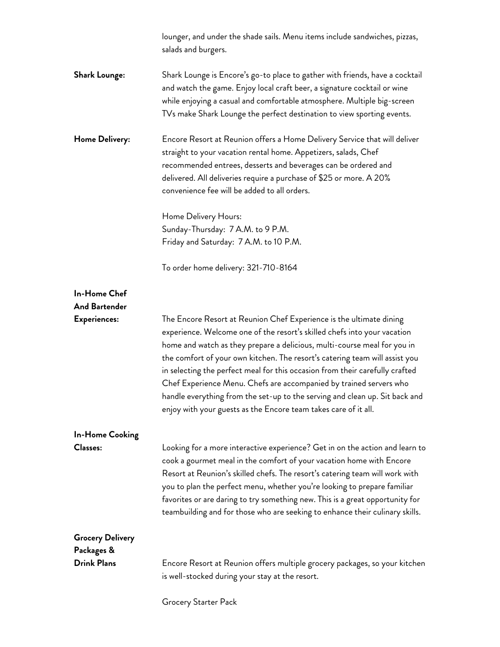|                                       | lounger, and under the shade sails. Menu items include sandwiches, pizzas,<br>salads and burgers.                                                                                                                                                                                                                                                                                                                                                                                                                                                                                                                  |
|---------------------------------------|--------------------------------------------------------------------------------------------------------------------------------------------------------------------------------------------------------------------------------------------------------------------------------------------------------------------------------------------------------------------------------------------------------------------------------------------------------------------------------------------------------------------------------------------------------------------------------------------------------------------|
| <b>Shark Lounge:</b>                  | Shark Lounge is Encore's go-to place to gather with friends, have a cocktail<br>and watch the game. Enjoy local craft beer, a signature cocktail or wine<br>while enjoying a casual and comfortable atmosphere. Multiple big-screen<br>TVs make Shark Lounge the perfect destination to view sporting events.                                                                                                                                                                                                                                                                                                      |
| Home Delivery:                        | Encore Resort at Reunion offers a Home Delivery Service that will deliver<br>straight to your vacation rental home. Appetizers, salads, Chef<br>recommended entrees, desserts and beverages can be ordered and<br>delivered. All deliveries require a purchase of \$25 or more. A 20%<br>convenience fee will be added to all orders.<br>Home Delivery Hours:<br>Sunday-Thursday: 7 A.M. to 9 P.M.<br>Friday and Saturday: 7 A.M. to 10 P.M.                                                                                                                                                                       |
|                                       | To order home delivery: 321-710-8164                                                                                                                                                                                                                                                                                                                                                                                                                                                                                                                                                                               |
| In-Home Chef<br><b>And Bartender</b>  |                                                                                                                                                                                                                                                                                                                                                                                                                                                                                                                                                                                                                    |
| Experiences:                          | The Encore Resort at Reunion Chef Experience is the ultimate dining<br>experience. Welcome one of the resort's skilled chefs into your vacation<br>home and watch as they prepare a delicious, multi-course meal for you in<br>the comfort of your own kitchen. The resort's catering team will assist you<br>in selecting the perfect meal for this occasion from their carefully crafted<br>Chef Experience Menu. Chefs are accompanied by trained servers who<br>handle everything from the set-up to the serving and clean up. Sit back and<br>enjoy with your guests as the Encore team takes care of it all. |
| <b>In-Home Cooking</b>                |                                                                                                                                                                                                                                                                                                                                                                                                                                                                                                                                                                                                                    |
| <b>Classes:</b>                       | Looking for a more interactive experience? Get in on the action and learn to<br>cook a gourmet meal in the comfort of your vacation home with Encore<br>Resort at Reunion's skilled chefs. The resort's catering team will work with<br>you to plan the perfect menu, whether you're looking to prepare familiar<br>favorites or are daring to try something new. This is a great opportunity for<br>teambuilding and for those who are seeking to enhance their culinary skills.                                                                                                                                  |
| <b>Grocery Delivery</b><br>Packages & |                                                                                                                                                                                                                                                                                                                                                                                                                                                                                                                                                                                                                    |
| <b>Drink Plans</b>                    | Encore Resort at Reunion offers multiple grocery packages, so your kitchen<br>is well-stocked during your stay at the resort.                                                                                                                                                                                                                                                                                                                                                                                                                                                                                      |

Grocery Starter Pack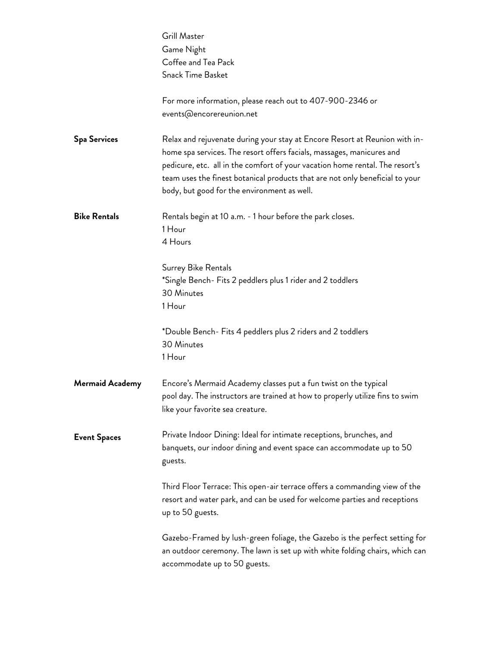|                        | Grill Master                                                                                                                                                                                                                                                                                                                                                       |
|------------------------|--------------------------------------------------------------------------------------------------------------------------------------------------------------------------------------------------------------------------------------------------------------------------------------------------------------------------------------------------------------------|
|                        | Game Night                                                                                                                                                                                                                                                                                                                                                         |
|                        | Coffee and Tea Pack                                                                                                                                                                                                                                                                                                                                                |
|                        | Snack Time Basket                                                                                                                                                                                                                                                                                                                                                  |
|                        | For more information, please reach out to 407-900-2346 or<br>events@encorereunion.net                                                                                                                                                                                                                                                                              |
|                        |                                                                                                                                                                                                                                                                                                                                                                    |
| <b>Spa Services</b>    | Relax and rejuvenate during your stay at Encore Resort at Reunion with in-<br>home spa services. The resort offers facials, massages, manicures and<br>pedicure, etc. all in the comfort of your vacation home rental. The resort's<br>team uses the finest botanical products that are not only beneficial to your<br>body, but good for the environment as well. |
| <b>Bike Rentals</b>    | Rentals begin at 10 a.m. - 1 hour before the park closes.<br>1 Hour                                                                                                                                                                                                                                                                                                |
|                        | 4 Hours                                                                                                                                                                                                                                                                                                                                                            |
|                        | Surrey Bike Rentals<br>*Single Bench- Fits 2 peddlers plus 1 rider and 2 toddlers                                                                                                                                                                                                                                                                                  |
|                        | 30 Minutes                                                                                                                                                                                                                                                                                                                                                         |
|                        | 1 Hour                                                                                                                                                                                                                                                                                                                                                             |
|                        | *Double Bench- Fits 4 peddlers plus 2 riders and 2 toddlers<br>30 Minutes<br>1 Hour                                                                                                                                                                                                                                                                                |
| <b>Mermaid Academy</b> | Encore's Mermaid Academy classes put a fun twist on the typical<br>pool day. The instructors are trained at how to properly utilize fins to swim<br>like your favorite sea creature.                                                                                                                                                                               |
| <b>Event Spaces</b>    | Private Indoor Dining: Ideal for intimate receptions, brunches, and<br>banquets, our indoor dining and event space can accommodate up to 50<br>guests.                                                                                                                                                                                                             |
|                        | Third Floor Terrace: This open-air terrace offers a commanding view of the<br>resort and water park, and can be used for welcome parties and receptions<br>up to 50 guests.                                                                                                                                                                                        |
|                        | Gazebo-Framed by lush-green foliage, the Gazebo is the perfect setting for<br>an outdoor ceremony. The lawn is set up with white folding chairs, which can<br>accommodate up to 50 guests.                                                                                                                                                                         |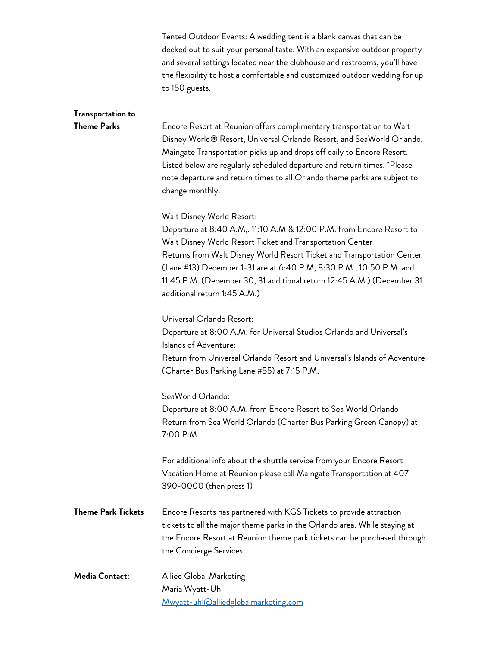| Tented Outdoor Events: A wedding tent is a blank canvas that can be         |
|-----------------------------------------------------------------------------|
| decked out to suit your personal taste. With an expansive outdoor property  |
| and several settings located near the clubhouse and restrooms, you'll have  |
| the flexibility to host a comfortable and customized outdoor wedding for up |
| to 150 guests.                                                              |

## **Transportation to**

**Theme Parks** Encore Resort at Reunion offers complimentary transportation to Walt Disney World® Resort, Universal Orlando Resort, and SeaWorld Orlando. Maingate Transportation picks up and drops off daily to Encore Resort. Listed below are regularly scheduled departure and return times. \*Please note departure and return times to all Orlando theme parks are subject to change monthly.

Walt Disney World Resort:

Departure at 8:40 A.M,. 11:10 A.M & 12:00 P.M. from Encore Resort to Walt Disney World Resort Ticket and Transportation Center Returns from Walt Disney World Resort Ticket and Transportation Center (Lane #13) December 1-31 are at 6:40 P.M, 8:30 P.M., 10:50 P.M. and 11:45 P.M. (December 30, 31 additional return 12:45 A.M.) (December 31 additional return 1:45 A.M.)

Universal Orlando Resort:

Departure at 8:00 A.M. for Universal Studios Orlando and Universal's Islands of Adventure: Return from Universal Orlando Resort and Universal's Islands of Adventure (Charter Bus Parking Lane #55) at 7:15 P.M.

SeaWorld Orlando:

Departure at 8:00 A.M. from Encore Resort to Sea World Orlando Return from Sea World Orlando (Charter Bus Parking Green Canopy) at 7:00 P.M.

For additional info about the shuttle service from your Encore Resort Vacation Home at Reunion please call Maingate Transportation at 407- 390-0000 (then press 1)

- **Theme Park Tickets** Encore Resorts has partnered with KGS Tickets to provide attraction tickets to all the major theme parks in the Orlando area. While staying at the Encore Resort at Reunion theme park tickets can be purchased through the Concierge Services
- **Media Contact:** Allied Global Marketing Maria Wyatt-Uhl Mwyatt-uhl@alliedglobalmarketing.com